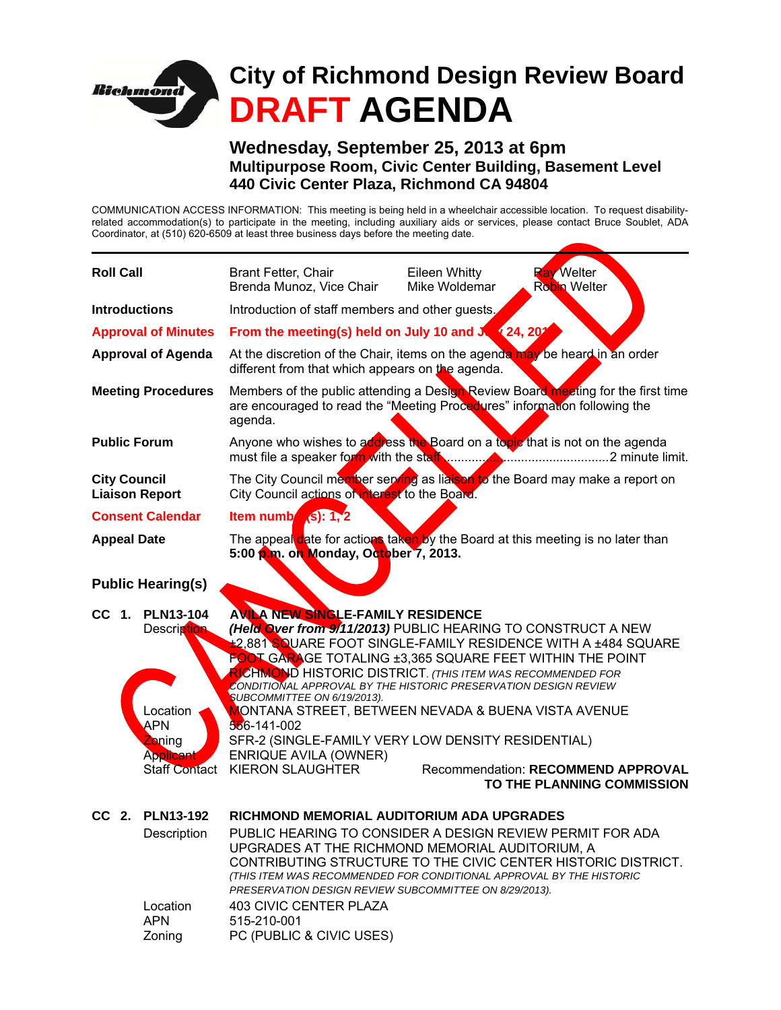

**Wednesday, September 25, 2013 at 6pm Multipurpose Room, Civic Center Building, Basement Level 440 Civic Center Plaza, Richmond CA 94804** 

COMMUNICATION ACCESS INFORMATION: This meeting is being held in a wheelchair accessible location. To request disabilityrelated accommodation(s) to participate in the meeting, including auxiliary aids or services, please contact Bruce Soublet, ADA Coordinator, at (510) 620-6509 at least three business days before the meeting date.

| <b>Roll Call</b>                                                                                                         | Brant Fetter, Chair<br>Brenda Munoz, Vice Chair                                                                                                                                                                                                                                                                                                                                                                                                                                                                                                                                                            | Eileen Whitty<br>Mike Woldemar | <b>Ray Welter</b><br><b>Robin Welter</b>                                |
|--------------------------------------------------------------------------------------------------------------------------|------------------------------------------------------------------------------------------------------------------------------------------------------------------------------------------------------------------------------------------------------------------------------------------------------------------------------------------------------------------------------------------------------------------------------------------------------------------------------------------------------------------------------------------------------------------------------------------------------------|--------------------------------|-------------------------------------------------------------------------|
| <b>Introductions</b>                                                                                                     | Introduction of staff members and other guests.                                                                                                                                                                                                                                                                                                                                                                                                                                                                                                                                                            |                                |                                                                         |
| <b>Approval of Minutes</b>                                                                                               | From the meeting(s) held on July 10 and July 24, 202                                                                                                                                                                                                                                                                                                                                                                                                                                                                                                                                                       |                                |                                                                         |
| <b>Approval of Agenda</b>                                                                                                | At the discretion of the Chair, items on the agenda may be heard in an order<br>different from that which appears on the agenda.                                                                                                                                                                                                                                                                                                                                                                                                                                                                           |                                |                                                                         |
| <b>Meeting Procedures</b>                                                                                                | Members of the public attending a Design Review Board meeting for the first time<br>are encouraged to read the "Meeting Procedures" information following the<br>agenda.                                                                                                                                                                                                                                                                                                                                                                                                                                   |                                |                                                                         |
| <b>Public Forum</b>                                                                                                      | Anyone who wishes to address the Board on a topic that is not on the agenda                                                                                                                                                                                                                                                                                                                                                                                                                                                                                                                                |                                |                                                                         |
| <b>City Council</b><br><b>Liaison Report</b>                                                                             | The City Council member serving as liaison to the Board may make a report on<br>City Council actions of interest to the Board.                                                                                                                                                                                                                                                                                                                                                                                                                                                                             |                                |                                                                         |
| <b>Consent Calendar</b>                                                                                                  | Item numb $(s)$ : 1, 2                                                                                                                                                                                                                                                                                                                                                                                                                                                                                                                                                                                     |                                |                                                                         |
| <b>Appeal Date</b>                                                                                                       | The appeal date for actions taken by the Board at this meeting is no later than<br>5:00 p.m. on Monday, October 7, 2013.                                                                                                                                                                                                                                                                                                                                                                                                                                                                                   |                                |                                                                         |
| <b>Public Hearing(s)</b>                                                                                                 |                                                                                                                                                                                                                                                                                                                                                                                                                                                                                                                                                                                                            |                                |                                                                         |
| CC 1.<br><b>PLN13-104</b><br>Description<br>Location<br>APN<br><b>Zoning</b><br><b>Applicant</b><br><b>Staff Contact</b> | <b>AVILA NEW SINGLE-FAMILY RESIDENCE</b><br>(Held Over from 9/11/2013) PUBLIC HEARING TO CONSTRUCT A NEW<br><b>±2,881 SQUARE FOOT SINGLE-FAMILY RESIDENCE WITH A ±484 SQUARE</b><br><b>FOOT GARAGE TOTALING ±3,365 SQUARE FEET WITHIN THE POINT</b><br>RICHMOND HISTORIC DISTRICT. (THIS ITEM WAS RECOMMENDED FOR<br>CONDITIONAL APPROVAL BY THE HISTORIC PRESERVATION DESIGN REVIEW<br>SUBCOMMITTEE ON 6/19/2013).<br>MONTANA STREET, BETWEEN NEVADA & BUENA VISTA AVENUE<br>556-141-002<br>SFR-2 (SINGLE-FAMILY VERY LOW DENSITY RESIDENTIAL)<br><b>ENRIQUE AVILA (OWNER)</b><br><b>KIERON SLAUGHTER</b> |                                | <b>Recommendation: RECOMMEND APPROVAL</b><br>TO THE PLANNING COMMISSION |
| CC 2. PLN13-192<br>Description<br>Location<br><b>APN</b><br>Zoning                                                       | RICHMOND MEMORIAL AUDITORIUM ADA UPGRADES<br>PUBLIC HEARING TO CONSIDER A DESIGN REVIEW PERMIT FOR ADA<br>UPGRADES AT THE RICHMOND MEMORIAL AUDITORIUM, A<br>CONTRIBUTING STRUCTURE TO THE CIVIC CENTER HISTORIC DISTRICT.<br>(THIS ITEM WAS RECOMMENDED FOR CONDITIONAL APPROVAL BY THE HISTORIC<br>PRESERVATION DESIGN REVIEW SUBCOMMITTEE ON 8/29/2013).<br><b>403 CIVIC CENTER PLAZA</b><br>515-210-001<br>PC (PUBLIC & CIVIC USES)                                                                                                                                                                    |                                |                                                                         |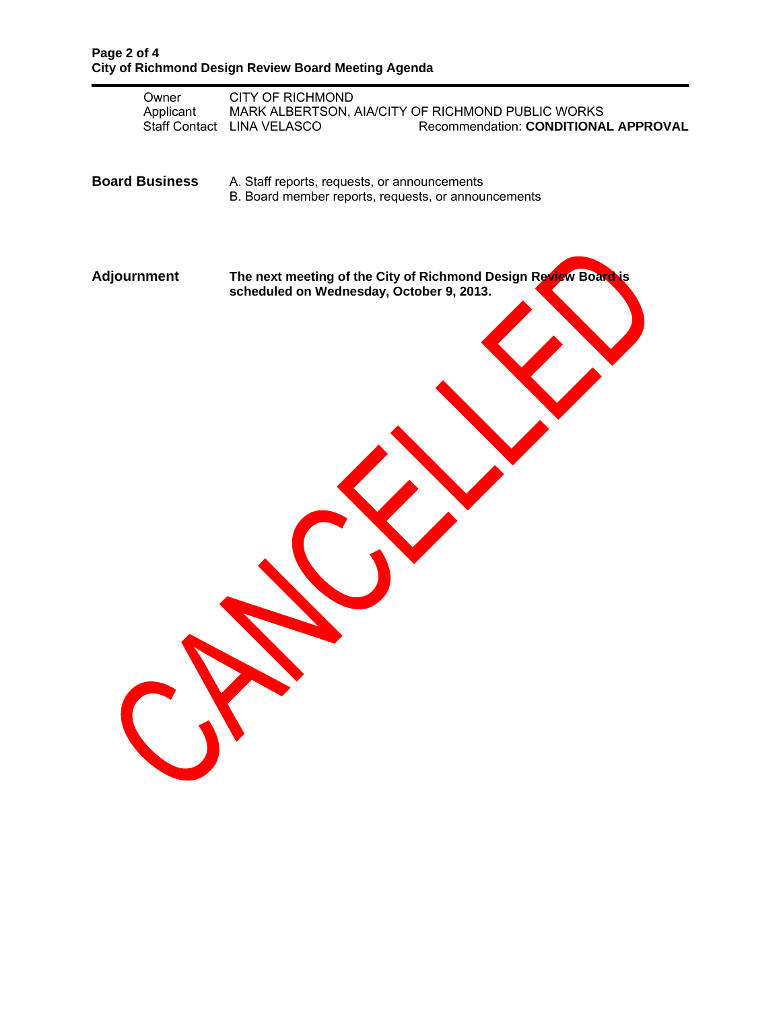| Owner<br>Applicant    | <b>CITY OF RICHMOND</b><br>MARK ALBERTSON, AIA/CITY OF RICHMOND PUBLIC WORKS<br>Staff Contact LINA VELASCO<br>Recommendation: CONDITIONAL APPROVAL |
|-----------------------|----------------------------------------------------------------------------------------------------------------------------------------------------|
| <b>Board Business</b> | A. Staff reports, requests, or announcements<br>B. Board member reports, requests, or announcements                                                |
| <b>Adjournment</b>    | The next meeting of the City of Richmond Design Review Board is<br>scheduled on Wednesday, October 9, 2013.                                        |
|                       |                                                                                                                                                    |
|                       |                                                                                                                                                    |
| CN                    |                                                                                                                                                    |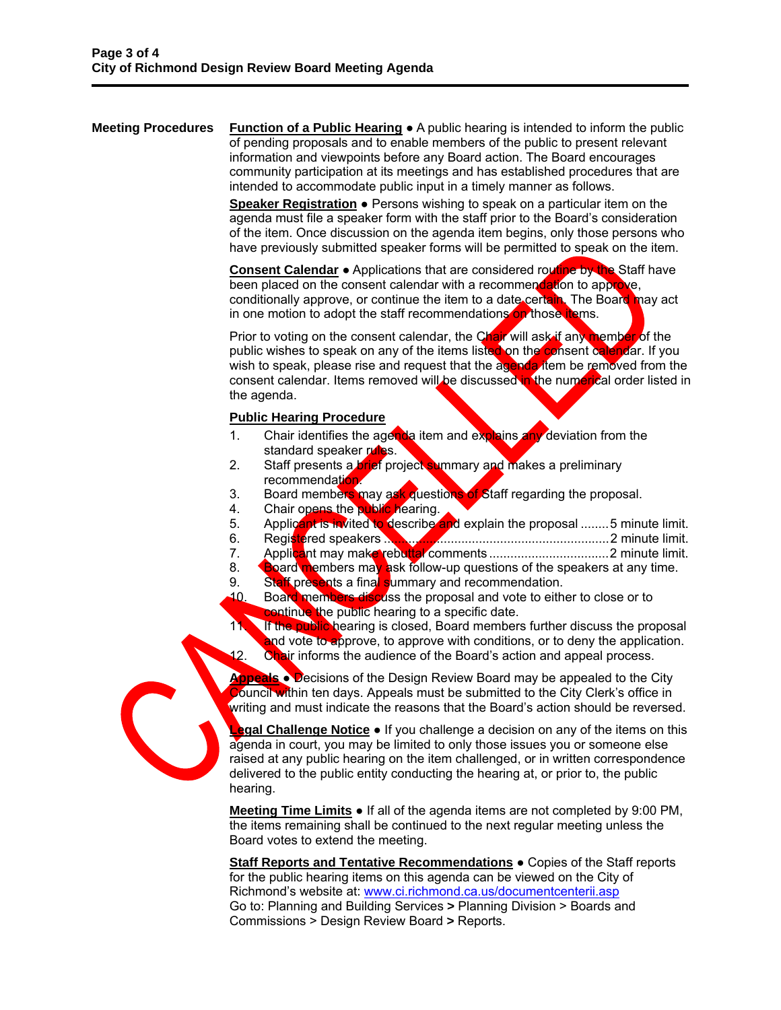**Meeting Procedures** Function of a Public Hearing ● A public hearing is intended to inform the public of pending proposals and to enable members of the public to present relevant information and viewpoints before any Board action. The Board encourages community participation at its meetings and has established procedures that are intended to accommodate public input in a timely manner as follows.

> **Speaker Registration ●** Persons wishing to speak on a particular item on the agenda must file a speaker form with the staff prior to the Board's consideration of the item. Once discussion on the agenda item begins, only those persons who have previously submitted speaker forms will be permitted to speak on the item.

**Consent Calendar** ● Applications that are considered routine by the Staff have been placed on the consent calendar with a recommendation to approve, conditionally approve, or continue the item to a date certain. The Board may act in one motion to adopt the staff recommendations on those items.

Prior to voting on the consent calendar, the Chair will ask if any member of the public wishes to speak on any of the items listed on the consent calendar. If you wish to speak, please rise and request that the agenda item be removed from the consent calendar. Items removed will be discussed in the numerical order listed in the agenda.

## **Public Hearing Procedure**

- 1. Chair identifies the agenda item and explains any deviation from the standard speaker rules.
- 2. Staff presents a brief project summary and makes a preliminary recommendation.
- 3. Board members may ask questions of Staff regarding the proposal.
- 4. Chair opens the public hearing.
- 5. Applicant is invited to describe and explain the proposal ........5 minute limit.
- 6. Registered speakers ................................................................ 2 minute limit.
- 7. Applicant may make rebuttal comments .................................. 2 minute limit.
- 8. Board members may ask follow-up questions of the speakers at any time.
- 9. Staff presents a final summary and recommendation.
- 10. Board members discuss the proposal and vote to either to close or to continue the public hearing to a specific date.
- 11. If the public hearing is closed, Board members further discuss the proposal and vote to approve, to approve with conditions, or to deny the application. 12. Chair informs the audience of the Board's action and appeal process.

**Appeals** ● Decisions of the Design Review Board may be appealed to the City **Council within ten days. Appeals must be submitted to the City Clerk's office in** writing and must indicate the reasons that the Board's action should be reversed.

**Legal Challenge Notice** ● If you challenge a decision on any of the items on this agenda in court, you may be limited to only those issues you or someone else raised at any public hearing on the item challenged, or in written correspondence delivered to the public entity conducting the hearing at, or prior to, the public hearing.

**Meeting Time Limits ●** If all of the agenda items are not completed by 9:00 PM, the items remaining shall be continued to the next regular meeting unless the Board votes to extend the meeting.

**Staff Reports and Tentative Recommendations ● Copies of the Staff reports** for the public hearing items on this agenda can be viewed on the City of Richmond's website at: www.ci.richmond.ca.us/documentcenterii.asp Go to: Planning and Building Services **>** Planning Division > Boards and Commissions > Design Review Board **>** Reports.